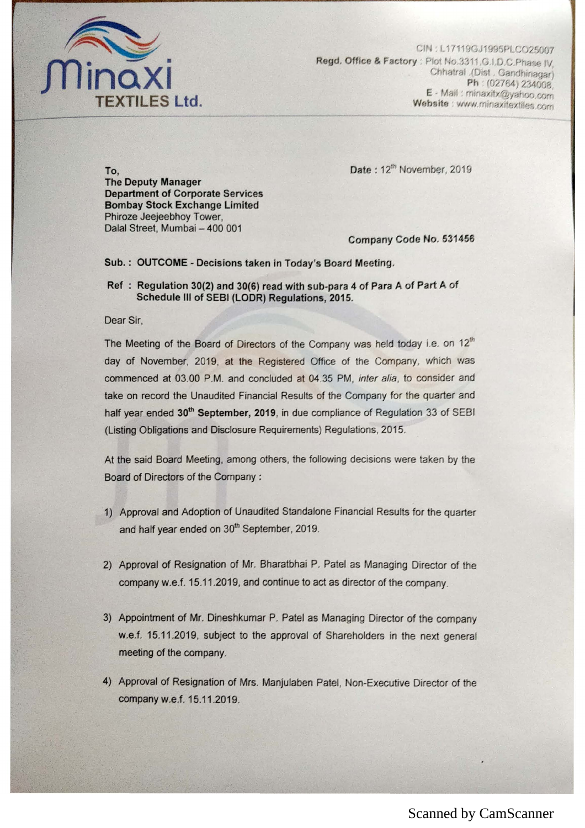

CIN: L17119GJ1995PLCO25007 Regd. Office & Factory : Plot No.3311, G.I.D.C. Phase IV. Chhatral .(Dist . Gandhinagar) Ph: (02764) 234008 E - Mail: minaxitx@yahoo.com Website : www.minaxitextiles.com

Date: 12<sup>th</sup> November, 2019

To, The Deputy Manager Department of Corporate Services Bombay Stock Exchange Limited Phiroze Jeejeebhoy Tower, Dalal Street, Mumbai - 400 001

Company Code No. 531456

## SUb.: OUTCOME - Decisions taken in Today's Board Meeting,

Ref: Regulation 30(2) and 30(6) read with sub-para 4 of Para A of Part A of Schedule III of SEBI (LODR) Regulations, 2015.

Dear Sir,

The Meeting of the Board of Directors of the Company was held today i.e. on 12<sup>th</sup> day of November, 2019, at the Registered Office of the Company, which was commenced at 03,00 P,M, and concluded at 04,35 PM, inter alia, to consider and take on record the Unaudited Financial Results of the Company for the quarter and half year ended 30<sup>th</sup> September, 2019, in due compliance of Regulation 33 of SEBI (Listing Obligations and Disclosure Requirements) Regulations, 2015.

At the said Board Meeting, among others, the following decisions were taken by the Board of Directors of the Company:

- 1) Approval and Adoption of Unaudited Standalone Financial Results for the quarter and half year ended on *30th* September, 2019,
- 2) Approval of Resignation of Mr. Bharatbhai P. Patel as Managing Director of the company w.e.f. 15.11.2019, and continue to act as director of the company.
- 3) Appointment of Mr. Dineshkumar P. Patel as Managing Director of the company w.e.f. 15.11.2019, subject to the approval of Shareholders in the next general meeting of the company,
- 4) Approval of Resignation of Mrs, Manjulaben Patel, Non-Executive Director of the company w.e.f. 15.11.2019,